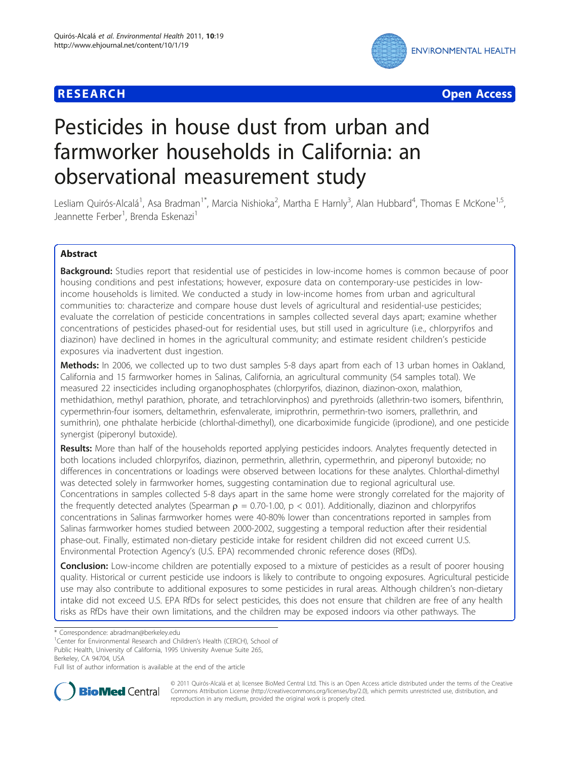



# Pesticides in house dust from urban and farmworker households in California: an observational measurement study

Lesliam Quirós-Alcalá<sup>1</sup>, Asa Bradman<sup>1\*</sup>, Marcia Nishioka<sup>2</sup>, Martha E Harnly<sup>3</sup>, Alan Hubbard<sup>4</sup>, Thomas E McKone<sup>1,5</sup>, Jeannette Ferber<sup>1</sup>, Brenda Eskenazi<sup>1</sup>

# Abstract

**Background:** Studies report that residential use of pesticides in low-income homes is common because of poor housing conditions and pest infestations; however, exposure data on contemporary-use pesticides in lowincome households is limited. We conducted a study in low-income homes from urban and agricultural communities to: characterize and compare house dust levels of agricultural and residential-use pesticides; evaluate the correlation of pesticide concentrations in samples collected several days apart; examine whether concentrations of pesticides phased-out for residential uses, but still used in agriculture (i.e., chlorpyrifos and diazinon) have declined in homes in the agricultural community; and estimate resident children's pesticide exposures via inadvertent dust ingestion.

Methods: In 2006, we collected up to two dust samples 5-8 days apart from each of 13 urban homes in Oakland, California and 15 farmworker homes in Salinas, California, an agricultural community (54 samples total). We measured 22 insecticides including organophosphates (chlorpyrifos, diazinon, diazinon-oxon, malathion, methidathion, methyl parathion, phorate, and tetrachlorvinphos) and pyrethroids (allethrin-two isomers, bifenthrin, cypermethrin-four isomers, deltamethrin, esfenvalerate, imiprothrin, permethrin-two isomers, prallethrin, and sumithrin), one phthalate herbicide (chlorthal-dimethyl), one dicarboximide fungicide (iprodione), and one pesticide synergist (piperonyl butoxide).

Results: More than half of the households reported applying pesticides indoors. Analytes frequently detected in both locations included chlorpyrifos, diazinon, permethrin, allethrin, cypermethrin, and piperonyl butoxide; no differences in concentrations or loadings were observed between locations for these analytes. Chlorthal-dimethyl was detected solely in farmworker homes, suggesting contamination due to regional agricultural use. Concentrations in samples collected 5-8 days apart in the same home were strongly correlated for the majority of the frequently detected analytes (Spearman  $\rho = 0.70$ -1.00,  $p < 0.01$ ). Additionally, diazinon and chlorpyrifos concentrations in Salinas farmworker homes were 40-80% lower than concentrations reported in samples from Salinas farmworker homes studied between 2000-2002, suggesting a temporal reduction after their residential phase-out. Finally, estimated non-dietary pesticide intake for resident children did not exceed current U.S. Environmental Protection Agency's (U.S. EPA) recommended chronic reference doses (RfDs).

**Conclusion:** Low-income children are potentially exposed to a mixture of pesticides as a result of poorer housing quality. Historical or current pesticide use indoors is likely to contribute to ongoing exposures. Agricultural pesticide use may also contribute to additional exposures to some pesticides in rural areas. Although children's non-dietary intake did not exceed U.S. EPA RfDs for select pesticides, this does not ensure that children are free of any health risks as RfDs have their own limitations, and the children may be exposed indoors via other pathways. The

<sup>1</sup>Center for Environmental Research and Children's Health (CERCH), School of Public Health, University of California, 1995 University Avenue Suite 265,

Full list of author information is available at the end of the article



© 2011 Quirós-Alcalá et al; licensee BioMed Central Ltd. This is an Open Access article distributed under the terms of the Creative Commons Attribution License [\(http://creativecommons.org/licenses/by/2.0](http://creativecommons.org/licenses/by/2.0)), which permits unrestricted use, distribution, and reproduction in any medium, provided the original work is properly cited.

Correspondence: [abradman@berkeley.edu](mailto:abradman@berkeley.edu)

Berkeley, CA 94704, USA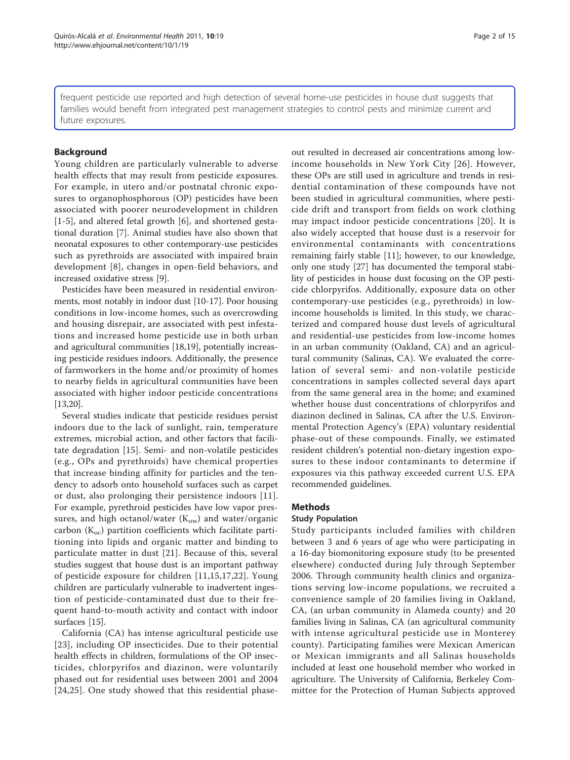frequent pesticide use reported and high detection of several home-use pesticides in house dust suggests that families would benefit from integrated pest management strategies to control pests and minimize current and future exposures.

# Background

Young children are particularly vulnerable to adverse health effects that may result from pesticide exposures. For example, in utero and/or postnatal chronic exposures to organophosphorous (OP) pesticides have been associated with poorer neurodevelopment in children [[1-5\]](#page-13-0), and altered fetal growth [\[6](#page-13-0)], and shortened gestational duration [[7\]](#page-13-0). Animal studies have also shown that neonatal exposures to other contemporary-use pesticides such as pyrethroids are associated with impaired brain development [\[8](#page-13-0)], changes in open-field behaviors, and increased oxidative stress [[9](#page-13-0)].

Pesticides have been measured in residential environments, most notably in indoor dust [\[10](#page-13-0)-[17\]](#page-13-0). Poor housing conditions in low-income homes, such as overcrowding and housing disrepair, are associated with pest infestations and increased home pesticide use in both urban and agricultural communities [[18,19\]](#page-13-0), potentially increasing pesticide residues indoors. Additionally, the presence of farmworkers in the home and/or proximity of homes to nearby fields in agricultural communities have been associated with higher indoor pesticide concentrations [[13,](#page-13-0)[20\]](#page-14-0).

Several studies indicate that pesticide residues persist indoors due to the lack of sunlight, rain, temperature extremes, microbial action, and other factors that facilitate degradation [[15\]](#page-13-0). Semi- and non-volatile pesticides (e.g., OPs and pyrethroids) have chemical properties that increase binding affinity for particles and the tendency to adsorb onto household surfaces such as carpet or dust, also prolonging their persistence indoors [[11](#page-13-0)]. For example, pyrethroid pesticides have low vapor pressures, and high octanol/water  $(K<sub>ow</sub>)$  and water/organic carbon  $(K_{oc})$  partition coefficients which facilitate partitioning into lipids and organic matter and binding to particulate matter in dust [[21](#page-14-0)]. Because of this, several studies suggest that house dust is an important pathway of pesticide exposure for children [[11,15](#page-13-0),[17,](#page-13-0)[22](#page-14-0)]. Young children are particularly vulnerable to inadvertent ingestion of pesticide-contaminated dust due to their frequent hand-to-mouth activity and contact with indoor surfaces [[15](#page-13-0)].

California (CA) has intense agricultural pesticide use [[23](#page-14-0)], including OP insecticides. Due to their potential health effects in children, formulations of the OP insecticides, chlorpyrifos and diazinon, were voluntarily phased out for residential uses between 2001 and 2004 [[24](#page-14-0),[25\]](#page-14-0). One study showed that this residential phasePage 2 of 15

out resulted in decreased air concentrations among lowincome households in New York City [[26](#page-14-0)]. However, these OPs are still used in agriculture and trends in residential contamination of these compounds have not been studied in agricultural communities, where pesticide drift and transport from fields on work clothing may impact indoor pesticide concentrations [[20](#page-14-0)]. It is also widely accepted that house dust is a reservoir for environmental contaminants with concentrations remaining fairly stable [\[11](#page-13-0)]; however, to our knowledge, only one study [\[27](#page-14-0)] has documented the temporal stability of pesticides in house dust focusing on the OP pesticide chlorpyrifos. Additionally, exposure data on other contemporary-use pesticides (e.g., pyrethroids) in lowincome households is limited. In this study, we characterized and compared house dust levels of agricultural and residential-use pesticides from low-income homes in an urban community (Oakland, CA) and an agricultural community (Salinas, CA). We evaluated the correlation of several semi- and non-volatile pesticide concentrations in samples collected several days apart from the same general area in the home; and examined whether house dust concentrations of chlorpyrifos and diazinon declined in Salinas, CA after the U.S. Environmental Protection Agency's (EPA) voluntary residential phase-out of these compounds. Finally, we estimated resident children's potential non-dietary ingestion exposures to these indoor contaminants to determine if exposures via this pathway exceeded current U.S. EPA recommended guidelines.

# Methods

### Study Population

Study participants included families with children between 3 and 6 years of age who were participating in a 16-day biomonitoring exposure study (to be presented elsewhere) conducted during July through September 2006. Through community health clinics and organizations serving low-income populations, we recruited a convenience sample of 20 families living in Oakland, CA, (an urban community in Alameda county) and 20 families living in Salinas, CA (an agricultural community with intense agricultural pesticide use in Monterey county). Participating families were Mexican American or Mexican immigrants and all Salinas households included at least one household member who worked in agriculture. The University of California, Berkeley Committee for the Protection of Human Subjects approved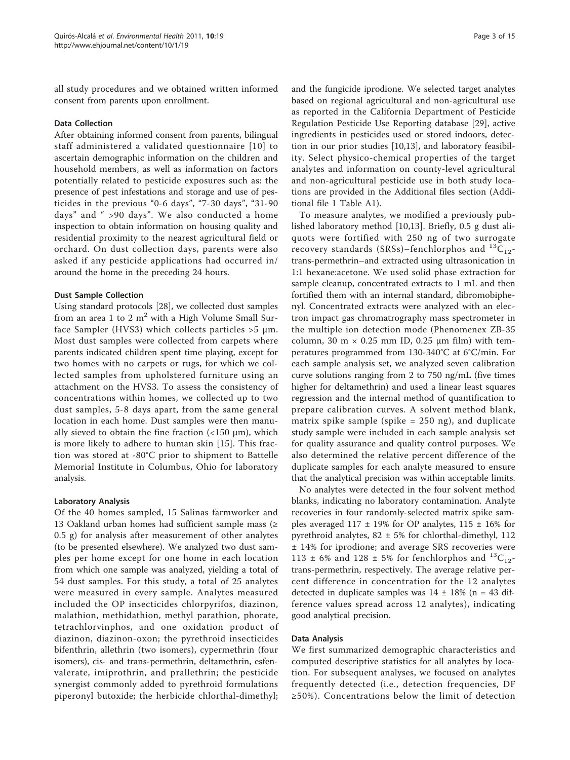all study procedures and we obtained written informed consent from parents upon enrollment.

#### Data Collection

After obtaining informed consent from parents, bilingual staff administered a validated questionnaire [[10](#page-13-0)] to ascertain demographic information on the children and household members, as well as information on factors potentially related to pesticide exposures such as: the presence of pest infestations and storage and use of pesticides in the previous "0-6 days", "7-30 days", "31-90 days" and " >90 days". We also conducted a home inspection to obtain information on housing quality and residential proximity to the nearest agricultural field or orchard. On dust collection days, parents were also asked if any pesticide applications had occurred in/ around the home in the preceding 24 hours.

#### Dust Sample Collection

Using standard protocols [[28\]](#page-14-0), we collected dust samples from an area 1 to 2  $m<sup>2</sup>$  with a High Volume Small Surface Sampler (HVS3) which collects particles >5 μm. Most dust samples were collected from carpets where parents indicated children spent time playing, except for two homes with no carpets or rugs, for which we collected samples from upholstered furniture using an attachment on the HVS3. To assess the consistency of concentrations within homes, we collected up to two dust samples, 5-8 days apart, from the same general location in each home. Dust samples were then manually sieved to obtain the fine fraction  $\left($  <150  $\mu$ m), which is more likely to adhere to human skin [[15\]](#page-13-0). This fraction was stored at -80°C prior to shipment to Battelle Memorial Institute in Columbus, Ohio for laboratory analysis.

#### Laboratory Analysis

Of the 40 homes sampled, 15 Salinas farmworker and 13 Oakland urban homes had sufficient sample mass ( $\geq$ 0.5 g) for analysis after measurement of other analytes (to be presented elsewhere). We analyzed two dust samples per home except for one home in each location from which one sample was analyzed, yielding a total of 54 dust samples. For this study, a total of 25 analytes were measured in every sample. Analytes measured included the OP insecticides chlorpyrifos, diazinon, malathion, methidathion, methyl parathion, phorate, tetrachlorvinphos, and one oxidation product of diazinon, diazinon-oxon; the pyrethroid insecticides bifenthrin, allethrin (two isomers), cypermethrin (four isomers), cis- and trans-permethrin, deltamethrin, esfenvalerate, imiprothrin, and prallethrin; the pesticide synergist commonly added to pyrethroid formulations piperonyl butoxide; the herbicide chlorthal-dimethyl; and the fungicide iprodione. We selected target analytes based on regional agricultural and non-agricultural use as reported in the California Department of Pesticide Regulation Pesticide Use Reporting database [\[29](#page-14-0)], active ingredients in pesticides used or stored indoors, detection in our prior studies [\[10,13](#page-13-0)], and laboratory feasibility. Select physico-chemical properties of the target analytes and information on county-level agricultural and non-agricultural pesticide use in both study locations are provided in the Additional files section (Additional file [1](#page-13-0) Table A1).

To measure analytes, we modified a previously published laboratory method [[10,13\]](#page-13-0). Briefly, 0.5 g dust aliquots were fortified with 250 ng of two surrogate recovery standards (SRSs)–fenchlorphos and  ${}^{13}C_{12}$ trans-permethrin–and extracted using ultrasonication in 1:1 hexane:acetone. We used solid phase extraction for sample cleanup, concentrated extracts to 1 mL and then fortified them with an internal standard, dibromobiphenyl. Concentrated extracts were analyzed with an electron impact gas chromatrography mass spectrometer in the multiple ion detection mode (Phenomenex ZB-35 column, 30 m  $\times$  0.25 mm ID, 0.25  $\mu$ m film) with temperatures programmed from 130-340°C at 6°C/min. For each sample analysis set, we analyzed seven calibration curve solutions ranging from 2 to 750 ng/mL (five times higher for deltamethrin) and used a linear least squares regression and the internal method of quantification to prepare calibration curves. A solvent method blank, matrix spike sample (spike = 250 ng), and duplicate study sample were included in each sample analysis set for quality assurance and quality control purposes. We also determined the relative percent difference of the duplicate samples for each analyte measured to ensure that the analytical precision was within acceptable limits.

No analytes were detected in the four solvent method blanks, indicating no laboratory contamination. Analyte recoveries in four randomly-selected matrix spike samples averaged  $117 \pm 19\%$  for OP analytes,  $115 \pm 16\%$  for pyrethroid analytes,  $82 \pm 5\%$  for chlorthal-dimethyl, 112 ± 14% for iprodione; and average SRS recoveries were 113 ± 6% and 128 ± 5% for fenchlorphos and  ${}^{13}C_{12}$ trans-permethrin, respectively. The average relative percent difference in concentration for the 12 analytes detected in duplicate samples was  $14 \pm 18\%$  (n = 43 difference values spread across 12 analytes), indicating good analytical precision.

#### Data Analysis

We first summarized demographic characteristics and computed descriptive statistics for all analytes by location. For subsequent analyses, we focused on analytes frequently detected (i.e., detection frequencies, DF ≥50%). Concentrations below the limit of detection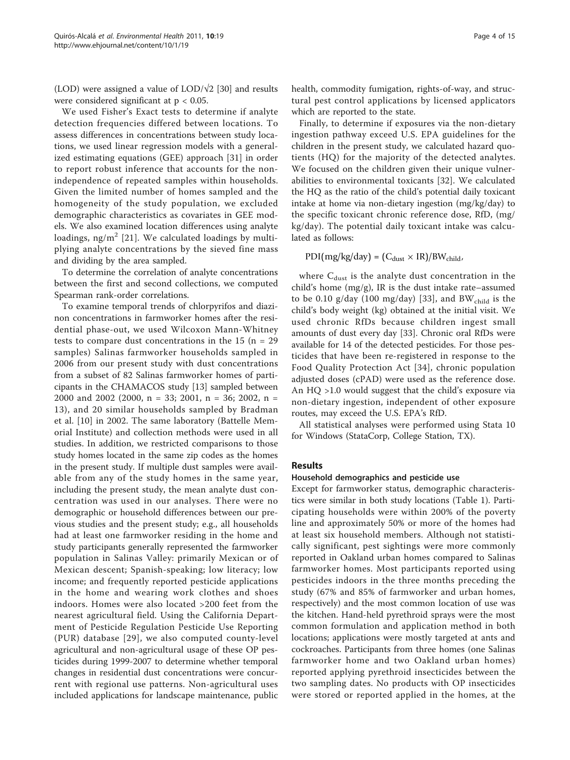(LOD) were assigned a value of LOD/ $\sqrt{2}$  [[30](#page-14-0)] and results were considered significant at  $p < 0.05$ .

We used Fisher's Exact tests to determine if analyte detection frequencies differed between locations. To assess differences in concentrations between study locations, we used linear regression models with a generalized estimating equations (GEE) approach [[31](#page-14-0)] in order to report robust inference that accounts for the nonindependence of repeated samples within households. Given the limited number of homes sampled and the homogeneity of the study population, we excluded demographic characteristics as covariates in GEE models. We also examined location differences using analyte loadings, ng/m<sup>2</sup> [\[21](#page-14-0)]. We calculated loadings by multiplying analyte concentrations by the sieved fine mass and dividing by the area sampled.

To determine the correlation of analyte concentrations between the first and second collections, we computed Spearman rank-order correlations.

To examine temporal trends of chlorpyrifos and diazinon concentrations in farmworker homes after the residential phase-out, we used Wilcoxon Mann-Whitney tests to compare dust concentrations in the  $15$  (n = 29) samples) Salinas farmworker households sampled in 2006 from our present study with dust concentrations from a subset of 82 Salinas farmworker homes of participants in the CHAMACOS study [[13\]](#page-13-0) sampled between 2000 and 2002 (2000, n = 33; 2001, n = 36; 2002, n = 13), and 20 similar households sampled by Bradman et al. [[10\]](#page-13-0) in 2002. The same laboratory (Battelle Memorial Institute) and collection methods were used in all studies. In addition, we restricted comparisons to those study homes located in the same zip codes as the homes in the present study. If multiple dust samples were available from any of the study homes in the same year, including the present study, the mean analyte dust concentration was used in our analyses. There were no demographic or household differences between our previous studies and the present study; e.g., all households had at least one farmworker residing in the home and study participants generally represented the farmworker population in Salinas Valley: primarily Mexican or of Mexican descent; Spanish-speaking; low literacy; low income; and frequently reported pesticide applications in the home and wearing work clothes and shoes indoors. Homes were also located >200 feet from the nearest agricultural field. Using the California Department of Pesticide Regulation Pesticide Use Reporting (PUR) database [[29\]](#page-14-0), we also computed county-level agricultural and non-agricultural usage of these OP pesticides during 1999-2007 to determine whether temporal changes in residential dust concentrations were concurrent with regional use patterns. Non-agricultural uses included applications for landscape maintenance, public health, commodity fumigation, rights-of-way, and structural pest control applications by licensed applicators

which are reported to the state. Finally, to determine if exposures via the non-dietary ingestion pathway exceed U.S. EPA guidelines for the children in the present study, we calculated hazard quotients (HQ) for the majority of the detected analytes. We focused on the children given their unique vulnerabilities to environmental toxicants [[32](#page-14-0)]. We calculated the HQ as the ratio of the child's potential daily toxicant intake at home via non-dietary ingestion (mg/kg/day) to the specific toxicant chronic reference dose, RfD, (mg/ kg/day). The potential daily toxicant intake was calculated as follows:

 $PDI(mg/kg/day) = (C_{dust} \times IR)/BW_{child}$ 

where  $C_{\text{dust}}$  is the analyte dust concentration in the child's home  $(mg/g)$ , IR is the dust intake rate–assumed to be 0.10 g/day (100 mg/day) [\[33\]](#page-14-0), and BW $_{\text{child}}$  is the child's body weight (kg) obtained at the initial visit. We used chronic RfDs because children ingest small amounts of dust every day [\[33](#page-14-0)]. Chronic oral RfDs were available for 14 of the detected pesticides. For those pesticides that have been re-registered in response to the Food Quality Protection Act [[34\]](#page-14-0), chronic population adjusted doses (cPAD) were used as the reference dose. An HQ >1.0 would suggest that the child's exposure via non-dietary ingestion, independent of other exposure routes, may exceed the U.S. EPA's RfD.

All statistical analyses were performed using Stata 10 for Windows (StataCorp, College Station, TX).

# Results

### Household demographics and pesticide use

Except for farmworker status, demographic characteristics were similar in both study locations (Table [1](#page-4-0)). Participating households were within 200% of the poverty line and approximately 50% or more of the homes had at least six household members. Although not statistically significant, pest sightings were more commonly reported in Oakland urban homes compared to Salinas farmworker homes. Most participants reported using pesticides indoors in the three months preceding the study (67% and 85% of farmworker and urban homes, respectively) and the most common location of use was the kitchen. Hand-held pyrethroid sprays were the most common formulation and application method in both locations; applications were mostly targeted at ants and cockroaches. Participants from three homes (one Salinas farmworker home and two Oakland urban homes) reported applying pyrethroid insecticides between the two sampling dates. No products with OP insecticides were stored or reported applied in the homes, at the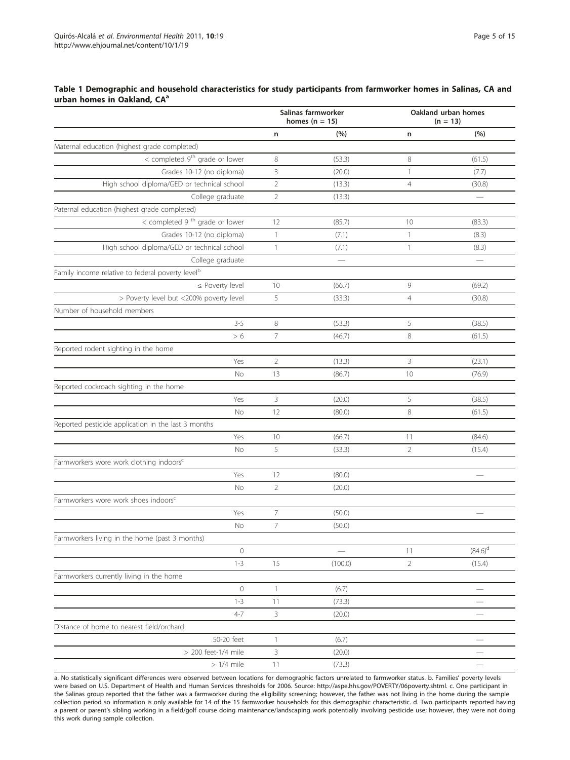# <span id="page-4-0"></span>Table 1 Demographic and household characteristics for study participants from farmworker homes in Salinas, CA and urban homes in Oakland,  $CA^a$

|                                                              |                | Salinas farmworker<br>homes $(n = 15)$ |                 | Oakland urban homes<br>$(n = 13)$ |
|--------------------------------------------------------------|----------------|----------------------------------------|-----------------|-----------------------------------|
|                                                              | n              | (%)                                    | n               | (%)                               |
| Maternal education (highest grade completed)                 |                |                                        |                 |                                   |
| $\lt$ completed 9 <sup>th</sup> grade or lower               | 8              | (53.3)                                 | 8               | (61.5)                            |
| Grades 10-12 (no diploma)                                    | 3              | (20.0)                                 | $\mathbf{1}$    | (7.7)                             |
| High school diploma/GED or technical school                  | $\overline{2}$ | (13.3)                                 | $\overline{4}$  | (30.8)                            |
| College graduate                                             | $\overline{2}$ | (13.3)                                 |                 | $\overline{\phantom{m}}$          |
| Paternal education (highest grade completed)                 |                |                                        |                 |                                   |
| $<$ completed 9 <sup>th</sup> grade or lower                 | 12             | (85.7)                                 | 10              | (83.3)                            |
| Grades 10-12 (no diploma)                                    | 1              | (7.1)                                  | $\mathbf{1}$    | (8.3)                             |
| High school diploma/GED or technical school                  | $\mathbf{1}$   | (7.1)                                  | $\overline{1}$  | (8.3)                             |
| College graduate                                             |                |                                        |                 | $\overline{\phantom{m}}$          |
| Family income relative to federal poverty level <sup>b</sup> |                |                                        |                 |                                   |
| $\le$ Poverty level                                          | 10             | (66.7)                                 | 9               | (69.2)                            |
| > Poverty level but <200% poverty level                      | 5              | (33.3)                                 | $\overline{4}$  | (30.8)                            |
| Number of household members                                  |                |                                        |                 |                                   |
| $3 - 5$                                                      | 8              | (53.3)                                 | 5               | (38.5)                            |
| > 6                                                          | 7              | (46.7)                                 | 8               | (61.5)                            |
| Reported rodent sighting in the home                         |                |                                        |                 |                                   |
| Yes                                                          | $\overline{2}$ | (13.3)                                 | 3               | (23.1)                            |
| No                                                           | 13             | (86.7)                                 | 10 <sup>°</sup> | (76.9)                            |
| Reported cockroach sighting in the home                      |                |                                        |                 |                                   |
| Yes                                                          | 3              | (20.0)                                 | 5               | (38.5)                            |
| No                                                           | 12             | (80.0)                                 | 8               | (61.5)                            |
| Reported pesticide application in the last 3 months          |                |                                        |                 |                                   |
| Yes                                                          | 10             | (66.7)                                 | 11              | (84.6)                            |
| No                                                           | 5              | (33.3)                                 | $\overline{2}$  | (15.4)                            |
| Farmworkers wore work clothing indoors <sup>c</sup>          |                |                                        |                 |                                   |
| Yes                                                          | 12             | (80.0)                                 |                 |                                   |
| No                                                           | $\overline{2}$ | (20.0)                                 |                 |                                   |
| Farmworkers wore work shoes indoors <sup>c</sup>             |                |                                        |                 |                                   |
| Yes                                                          | 7              | (50.0)                                 |                 | $\overline{\phantom{0}}$          |
| No                                                           | 7              | (50.0)                                 |                 |                                   |
| Farmworkers living in the home (past 3 months)               |                |                                        |                 |                                   |
| $\circ$                                                      |                |                                        | 11              | $(84.6)^{d}$                      |
| $1 - 3$                                                      | 15             | (100.0)                                | $\overline{2}$  | (15.4)                            |
| Farmworkers currently living in the home                     |                |                                        |                 |                                   |
| $\circ$                                                      | 1              | (6.7)                                  |                 |                                   |
| $1 - 3$                                                      | 11             | (73.3)                                 |                 |                                   |
| $4 - 7$                                                      | $\mathbf{3}$   | (20.0)                                 |                 |                                   |
| Distance of home to nearest field/orchard                    |                |                                        |                 |                                   |
| 50-20 feet                                                   | $\mathbf{1}$   | (6.7)                                  |                 | $\overbrace{\phantom{aaaaa}}$     |
| > 200 feet-1/4 mile                                          | 3              | (20.0)                                 |                 |                                   |
| $>1/4$ mile                                                  | $11\,$         | (73.3)                                 |                 |                                   |

a. No statistically significant differences were observed between locations for demographic factors unrelated to farmworker status. b. Families' poverty levels were based on U.S. Department of Health and Human Services thresholds for 2006. Source:<http://aspe.hhs.gov/POVERTY/06poverty.shtml>. c. One participant in the Salinas group reported that the father was a farmworker during the eligibility screening; however, the father was not living in the home during the sample collection period so information is only available for 14 of the 15 farmworker households for this demographic characteristic. d. Two participants reported having a parent or parent's sibling working in a field/golf course doing maintenance/landscaping work potentially involving pesticide use; however, they were not doing this work during sample collection.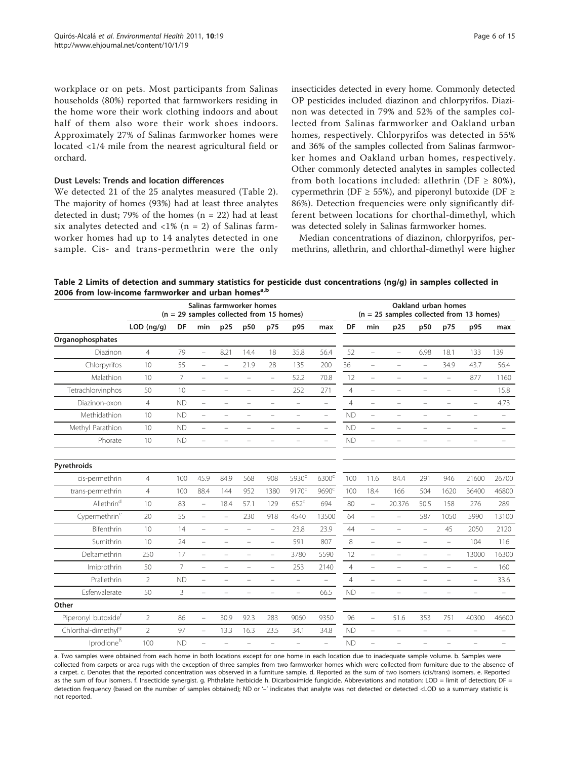<span id="page-5-0"></span>workplace or on pets. Most participants from Salinas households (80%) reported that farmworkers residing in the home wore their work clothing indoors and about half of them also wore their work shoes indoors. Approximately 27% of Salinas farmworker homes were located <1/4 mile from the nearest agricultural field or orchard.

# Dust Levels: Trends and location differences

We detected 21 of the 25 analytes measured (Table 2). The majority of homes (93%) had at least three analytes detected in dust; 79% of the homes  $(n = 22)$  had at least six analytes detected and  $\langle 1\% \; (n = 2) \; \text{of} \; \text{Salinas farm}$ worker homes had up to 14 analytes detected in one sample. Cis- and trans-permethrin were the only insecticides detected in every home. Commonly detected OP pesticides included diazinon and chlorpyrifos. Diazinon was detected in 79% and 52% of the samples collected from Salinas farmworker and Oakland urban homes, respectively. Chlorpyrifos was detected in 55% and 36% of the samples collected from Salinas farmworker homes and Oakland urban homes, respectively. Other commonly detected analytes in samples collected from both locations included: allethrin ( $DF \geq 80\%$ ), cypermethrin (DF  $\geq$  55%), and piperonyl butoxide (DF  $\geq$ 86%). Detection frequencies were only significantly different between locations for chorthal-dimethyl, which was detected solely in Salinas farmworker homes.

Median concentrations of diazinon, chlorpyrifos, permethrins, allethrin, and chlorthal-dimethyl were higher

Table 2 Limits of detection and summary statistics for pesticide dust concentrations (ng/g) in samples collected in 2006 from low-income farmworker and urban homes<sup>a,b</sup>

|                                 |                |                |                          |          | Salinas farmworker homes | $(n = 29$ samples collected from 15 homes) |                   |                          |                |                | $(n = 25$ samples collected from 13 homes) |                          | Oakland urban homes |                          |                          |
|---------------------------------|----------------|----------------|--------------------------|----------|--------------------------|--------------------------------------------|-------------------|--------------------------|----------------|----------------|--------------------------------------------|--------------------------|---------------------|--------------------------|--------------------------|
|                                 | $LOD$ (ng/g)   | DF             | min                      | p25      | p50                      | p75                                        | p95               | max                      | DF             | min            | p25                                        | p50                      | p75                 | p95                      | max                      |
| Organophosphates                |                |                |                          |          |                          |                                            |                   |                          |                |                |                                            |                          |                     |                          |                          |
| Diazinon                        | $\overline{4}$ | 79             | $\overline{\phantom{0}}$ | 8.21     | 14.4                     | 18                                         | 35.8              | 56.4                     | 52             | $\equiv$       | $\equiv$                                   | 6.98                     | 18.1                | 133                      | 139                      |
| Chlorpyrifos                    | 10             | 55             | $\overline{\phantom{0}}$ | $\equiv$ | 21.9                     | 28                                         | 135               | 200                      | 36             | $\overline{a}$ | $\equiv$                                   | $\overline{\phantom{0}}$ | 34.9                | 43.7                     | 56.4                     |
| Malathion                       | 10             | $\overline{7}$ | $\equiv$                 | $\equiv$ | ÷.                       | L,                                         | 52.2              | 70.8                     | 12             | $\equiv$       | $\equiv$                                   | $\equiv$                 | $\equiv$            | 877                      | 1160                     |
| Tetrachlorvinphos               | 50             | 10             | $\equiv$                 | $\equiv$ | $\equiv$                 | $\equiv$                                   | 252               | 271                      | $\overline{4}$ | $\overline{a}$ | $\equiv$                                   | $\overline{\phantom{0}}$ | $\equiv$            | $\equiv$                 | 15.8                     |
| Diazinon-oxon                   | $\overline{4}$ | <b>ND</b>      | $\equiv$                 | $\equiv$ | ÷.                       | L,                                         | $=$               | $\overline{\phantom{0}}$ | $\overline{4}$ | $\equiv$       | $\equiv$                                   | $\equiv$                 | $\equiv$            | $\equiv$                 | 4.73                     |
| Methidathion                    | 10             | <b>ND</b>      | $\overline{\phantom{a}}$ | $\equiv$ | $\equiv$                 | $\equiv$                                   | $\equiv$          | $\overline{\phantom{0}}$ | <b>ND</b>      | $\equiv$       | $\equiv$                                   | $\overline{\phantom{0}}$ | ÷                   | $\overline{\phantom{m}}$ | $\frac{1}{2}$            |
| Methyl Parathion                | 10             | <b>ND</b>      | $\equiv$                 | ÷.       | ÷.                       | ÷.                                         | $\equiv$          | $\equiv$                 | <b>ND</b>      | $\equiv$       | $=$                                        | $\equiv$                 | ÷.                  | $\equiv$                 | $\sim$                   |
| Phorate                         | 10             | <b>ND</b>      | $\equiv$                 | $\equiv$ |                          | $\equiv$                                   | $\equiv$          | $\equiv$                 | <b>ND</b>      | $\overline{a}$ | ÷,                                         | $\overline{\phantom{0}}$ | $\equiv$            | ÷                        | $\overline{\phantom{0}}$ |
| Pyrethroids                     |                |                |                          |          |                          |                                            |                   |                          |                |                |                                            |                          |                     |                          |                          |
| cis-permethrin                  | $\overline{4}$ | 100            | 45.9                     | 84.9     | 568                      | 908                                        | 5930 <sup>c</sup> | 6300 <sup>c</sup>        | 100            | 11.6           | 84.4                                       | 291                      | 946                 | 21600                    | 26700                    |
| trans-permethrin                | $\overline{4}$ | 100            | 88.4                     | 144      | 952                      | 1380                                       | $9170^{\circ}$    | 9690 <sup>c</sup>        | 100            | 18.4           | 166                                        | 504                      | 1620                | 36400                    | 46800                    |
| Allethrin <sup>d</sup>          | 10             | 83             | $\equiv$                 | 18.4     | 57.1                     | 129                                        | $652^c$           | 694                      | 80             | $\equiv$       | 20.376                                     | 50.5                     | 158                 | 276                      | 289                      |
| Cypermethrin <sup>e</sup>       | 20             | 55             | $\equiv$                 | L.       | 230                      | 918                                        | 4540              | 13500                    | 64             | $\equiv$       | $\equiv$                                   | 587                      | 1050                | 5990                     | 13100                    |
| Bifenthrin                      | 10             | 14             | $\overline{a}$           | $\equiv$ | ÷                        | $\sim$                                     | 23.8              | 23.9                     | 44             | $\equiv$       | $\equiv$                                   | $\overline{\phantom{0}}$ | 45                  | 2050                     | 2120                     |
| Sumithrin                       | 10             | 24             | $\overline{\phantom{a}}$ | ÷        | ÷.                       | ÷                                          | 591               | 807                      | 8              | $\overline{a}$ | $\overline{\phantom{a}}$                   | $=$                      | $\equiv$            | 104                      | 116                      |
| Deltamethrin                    | 250            | 17             | $\overline{a}$           | $\equiv$ | L.                       | $\equiv$                                   | 3780              | 5590                     | 12             | $\overline{a}$ | $\overline{a}$                             | $\overline{\phantom{0}}$ | $\overline{a}$      | 13000                    | 16300                    |
| Imiprothrin                     | 50             | $\overline{7}$ | $=$                      | L,       | $\equiv$                 | L,                                         | 253               | 2140                     | $\overline{4}$ | $\equiv$       | $\equiv$                                   | $\overline{a}$           | $\equiv$            | $=$                      | 160                      |
| Prallethrin                     | $\overline{2}$ | <b>ND</b>      | $\equiv$                 | $\equiv$ | ÷                        | $\equiv$                                   | $\equiv$          | $\equiv$                 | $\overline{4}$ | $\equiv$       | $\equiv$                                   | $\equiv$                 | $\equiv$            | $\equiv$                 | 33.6                     |
| Esfenvalerate                   | 50             | 3              | $\overline{\phantom{0}}$ | $\equiv$ | $\overline{\phantom{0}}$ | ÷,                                         | $\equiv$          | 66.5                     | <b>ND</b>      | $\overline{a}$ | L.                                         | $\overline{\phantom{0}}$ | $\equiv$            | $\equiv$                 | $\overline{\phantom{0}}$ |
| Other                           |                |                |                          |          |                          |                                            |                   |                          |                |                |                                            |                          |                     |                          |                          |
| Piperonyl butoxidef             | $\overline{2}$ | 86             | $\overline{\phantom{0}}$ | 30.9     | 92.3                     | 283                                        | 9060              | 9350                     | 96             | $\overline{a}$ | 51.6                                       | 353                      | 751                 | 40300                    | 46600                    |
| Chlorthal-dimethyl <sup>9</sup> | $\overline{2}$ | 97             | $\equiv$                 | 13.3     | 16.3                     | 23.5                                       | 34.1              | 34.8                     | <b>ND</b>      | $\equiv$       | $\equiv$                                   | $\overline{\phantom{0}}$ | ÷                   | $\equiv$                 | $\overline{\phantom{a}}$ |
| Iprodioneh                      | 100            | <b>ND</b>      | $\overline{a}$           | L,       |                          | L,                                         | L.                | $=$                      | <b>ND</b>      | L.             | $\equiv$                                   | $\equiv$                 |                     |                          |                          |

a. Two samples were obtained from each home in both locations except for one home in each location due to inadequate sample volume. b. Samples were collected from carpets or area rugs with the exception of three samples from two farmworker homes which were collected from furniture due to the absence of a carpet. c. Denotes that the reported concentration was observed in a furniture sample. d. Reported as the sum of two isomers (cis/trans) isomers. e. Reported as the sum of four isomers. f. Insecticide synergist. g. Phthalate herbicide h. Dicarboximide fungicide. Abbreviations and notation: LOD = limit of detection; DF = detection frequency (based on the number of samples obtained); ND or '-' indicates that analyte was not detected or detected <LOD so a summary statistic is not reported.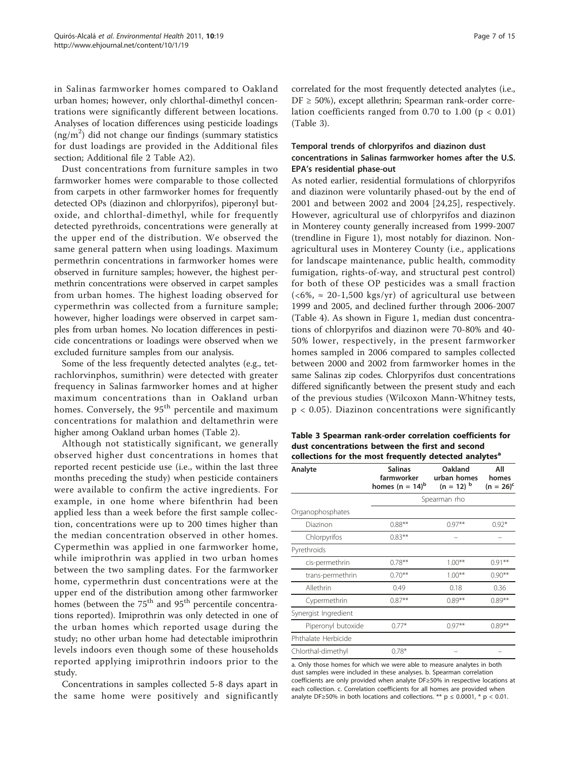in Salinas farmworker homes compared to Oakland urban homes; however, only chlorthal-dimethyl concentrations were significantly different between locations. Analyses of location differences using pesticide loadings  $($ ng/m<sup>2</sup> $)$  did not change our findings (summary statistics for dust loadings are provided in the Additional files section; Additional file [2](#page-13-0) Table A2).

Dust concentrations from furniture samples in two farmworker homes were comparable to those collected from carpets in other farmworker homes for frequently detected OPs (diazinon and chlorpyrifos), piperonyl butoxide, and chlorthal-dimethyl, while for frequently detected pyrethroids, concentrations were generally at the upper end of the distribution. We observed the same general pattern when using loadings. Maximum permethrin concentrations in farmworker homes were observed in furniture samples; however, the highest permethrin concentrations were observed in carpet samples from urban homes. The highest loading observed for cypermethrin was collected from a furniture sample; however, higher loadings were observed in carpet samples from urban homes. No location differences in pesticide concentrations or loadings were observed when we excluded furniture samples from our analysis.

Some of the less frequently detected analytes (e.g., tetrachlorvinphos, sumithrin) were detected with greater frequency in Salinas farmworker homes and at higher maximum concentrations than in Oakland urban homes. Conversely, the 95<sup>th</sup> percentile and maximum concentrations for malathion and deltamethrin were higher among Oakland urban homes (Table [2](#page-5-0)).

Although not statistically significant, we generally observed higher dust concentrations in homes that reported recent pesticide use (i.e., within the last three months preceding the study) when pesticide containers were available to confirm the active ingredients. For example, in one home where bifenthrin had been applied less than a week before the first sample collection, concentrations were up to 200 times higher than the median concentration observed in other homes. Cypermethin was applied in one farmworker home, while imiprothrin was applied in two urban homes between the two sampling dates. For the farmworker home, cypermethrin dust concentrations were at the upper end of the distribution among other farmworker homes (between the 75<sup>th</sup> and 95<sup>th</sup> percentile concentrations reported). Imiprothrin was only detected in one of the urban homes which reported usage during the study; no other urban home had detectable imiprothrin levels indoors even though some of these households reported applying imiprothrin indoors prior to the study.

Concentrations in samples collected 5-8 days apart in the same home were positively and significantly correlated for the most frequently detected analytes (i.e.,  $DF \ge 50\%$ ), except allethrin; Spearman rank-order correlation coefficients ranged from 0.70 to 1.00 ( $p < 0.01$ ) (Table 3).

# Temporal trends of chlorpyrifos and diazinon dust concentrations in Salinas farmworker homes after the U.S. EPA's residential phase-out

As noted earlier, residential formulations of chlorpyrifos and diazinon were voluntarily phased-out by the end of 2001 and between 2002 and 2004 [\[24,25\]](#page-14-0), respectively. However, agricultural use of chlorpyrifos and diazinon in Monterey county generally increased from 1999-2007 (trendline in Figure [1](#page-7-0)), most notably for diazinon. Nonagricultural uses in Monterey County (i.e., applications for landscape maintenance, public health, commodity fumigation, rights-of-way, and structural pest control) for both of these OP pesticides was a small fraction  $(<6\%$ ,  $\approx$  20-1,500 kgs/yr) of agricultural use between 1999 and 2005, and declined further through 2006-2007 (Table [4\)](#page-8-0). As shown in Figure [1,](#page-7-0) median dust concentrations of chlorpyrifos and diazinon were 70-80% and 40- 50% lower, respectively, in the present farmworker homes sampled in 2006 compared to samples collected between 2000 and 2002 from farmworker homes in the same Salinas zip codes. Chlorpyrifos dust concentrations differed significantly between the present study and each of the previous studies (Wilcoxon Mann-Whitney tests, p < 0.05). Diazinon concentrations were significantly

Table 3 Spearman rank-order correlation coefficients for dust concentrations between the first and second collections for the most frequently detected analytes<sup>a</sup>

| Analyte              | <b>Salinas</b><br>farmworker<br>homes $(n = 14)^b$ | Oakland<br>urban homes<br>$(n = 12)^{b}$ | All<br>homes<br>$(n = 26)^c$ |
|----------------------|----------------------------------------------------|------------------------------------------|------------------------------|
|                      |                                                    | Spearman rho                             |                              |
| Organophosphates     |                                                    |                                          |                              |
| Diazinon             | $0.88**$                                           | $0.97**$                                 | $0.92*$                      |
| Chlorpyrifos         | $0.83***$                                          |                                          |                              |
| Pyrethroids          |                                                    |                                          |                              |
| cis-permethrin       | $0.78***$                                          | $1.00**$                                 | $0.91***$                    |
| trans-permethrin     | $0.70***$                                          | $1.00**$                                 | $0.90**$                     |
| Allethrin            | 0.49                                               | 0.18                                     | 0.36                         |
| Cypermethrin         | $0.87**$                                           | $0.89**$                                 | $0.89**$                     |
| Synergist Ingredient |                                                    |                                          |                              |
| Piperonyl butoxide   | $0.77*$                                            | $0.97**$                                 | $0.89***$                    |
| Phthalate Herbicide  |                                                    |                                          |                              |
| Chlorthal-dimethyl   | $0.78*$                                            |                                          |                              |

a. Only those homes for which we were able to measure analytes in both dust samples were included in these analyses. b. Spearman correlation coefficients are only provided when analyte DF≥50% in respective locations at each collection. c. Correlation coefficients for all homes are provided when analyte DF≥50% in both locations and collections. \*\*  $p \le 0.0001$ , \*  $p < 0.01$ .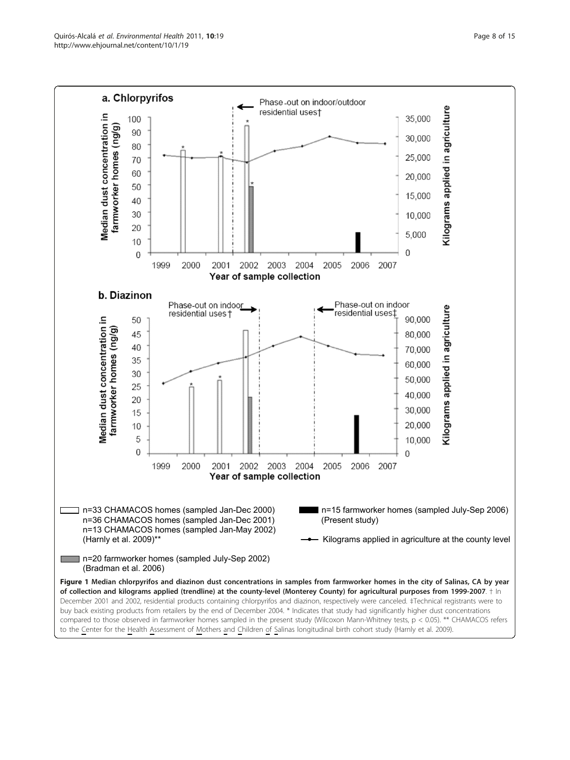<span id="page-7-0"></span>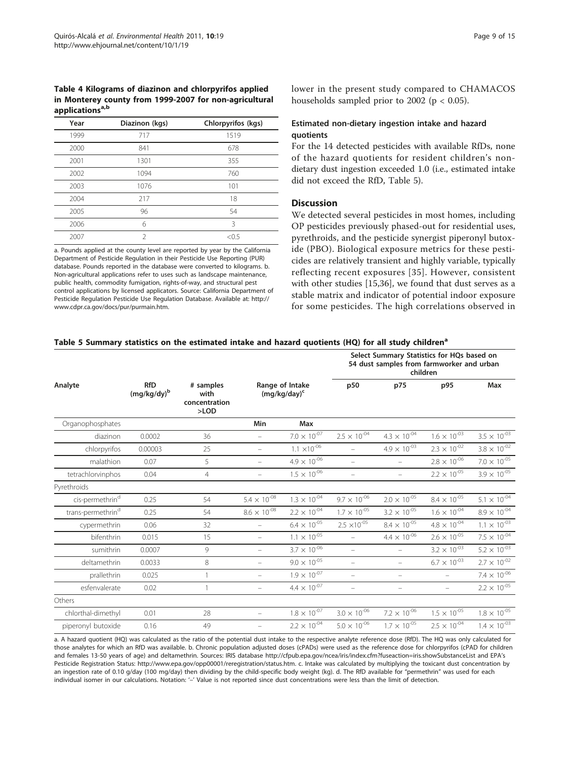<span id="page-8-0"></span>Table 4 Kilograms of diazinon and chlorpyrifos applied in Monterey county from 1999-2007 for non-agricultural applications<sup>a,b</sup>

| Year | Diazinon (kgs) | Chlorpyrifos (kgs) |
|------|----------------|--------------------|
| 1999 | 717            | 1519               |
| 2000 | 841            | 678                |
| 2001 | 1301           | 355                |
| 2002 | 1094           | 760                |
| 2003 | 1076           | 101                |
| 2004 | 217            | 18                 |
| 2005 | 96             | 54                 |
| 2006 | 6              | 3                  |
| 2007 | C              | < 0.5              |

a. Pounds applied at the county level are reported by year by the California Department of Pesticide Regulation in their Pesticide Use Reporting (PUR) database. Pounds reported in the database were converted to kilograms. b. Non-agricultural applications refer to uses such as landscape maintenance, public health, commodity fumigation, rights-of-way, and structural pest control applications by licensed applicators. Source: California Department of Pesticide Regulation Pesticide Use Regulation Database. Available at: [http://](http://www.cdpr.ca.gov/docs/pur/purmain.htm) [www.cdpr.ca.gov/docs/pur/purmain.htm.](http://www.cdpr.ca.gov/docs/pur/purmain.htm)

# Estimated non-dietary ingestion intake and hazard quotients

For the 14 detected pesticides with available RfDs, none of the hazard quotients for resident children's nondietary dust ingestion exceeded 1.0 (i.e., estimated intake did not exceed the RfD, Table 5).

# **Discussion**

We detected several pesticides in most homes, including OP pesticides previously phased-out for residential uses, pyrethroids, and the pesticide synergist piperonyl butoxide (PBO). Biological exposure metrics for these pesticides are relatively transient and highly variable, typically reflecting recent exposures [[35\]](#page-14-0). However, consistent with other studies [[15,](#page-13-0)[36\]](#page-14-0), we found that dust serves as a stable matrix and indicator of potential indoor exposure for some pesticides. The high correlations observed in

### Table 5 Summary statistics on the estimated intake and hazard quotients (HQ) for all study children<sup>a</sup>

|                               |                                       |                                               |                          |                                    | Select Summary Statistics for HQs based on<br>54 dust samples from farmworker and urban<br>children |                            |                           |                       |  |  |  |  |
|-------------------------------|---------------------------------------|-----------------------------------------------|--------------------------|------------------------------------|-----------------------------------------------------------------------------------------------------|----------------------------|---------------------------|-----------------------|--|--|--|--|
| Analyte                       | <b>RfD</b><br>(mg/kg/dy) <sup>b</sup> | # samples<br>with<br>concentration<br>$>$ LOD |                          | Range of Intake<br>$(mq/kg/day)^c$ |                                                                                                     | p75                        | p95                       | Max                   |  |  |  |  |
| Organophosphates              |                                       |                                               | Min                      | Max                                |                                                                                                     |                            |                           |                       |  |  |  |  |
| diazinon                      | 0.0002                                | 36                                            | $\overline{\phantom{m}}$ | $7.0 \times 10^{-07}$              | $2.5 \times 10^{-04}$                                                                               | $4.3 \times 10^{-04}$      | $1.6 \times 10^{-03}$     | $3.5 \times 10^{-03}$ |  |  |  |  |
| chlorpyrifos                  | 0.00003                               | 25                                            | ÷                        | $1.1 \times 10^{-06}$              |                                                                                                     | $4.9 \times 10^{-03}$      | $2.3 \times 10^{-02}$     | $3.8\times10^{-02}$   |  |  |  |  |
| malathion                     | 0.07                                  | 5                                             | $\equiv$                 | $4.9\times10^{-06}$                | $\sim$                                                                                              | $\overline{\phantom{0}}$   | $2.8 \times 10^{-06}$     | $7.0\times10^{-05}$   |  |  |  |  |
| tetrachlorvinphos             | 0.04                                  | $\overline{4}$                                | $\overline{\phantom{m}}$ | $1.5\times10^{-06}$                | $\qquad \qquad -$                                                                                   | $\overline{\phantom{a}}$   | $2.2 \times 10^{-05}$     | $3.9 \times 10^{-05}$ |  |  |  |  |
| Pyrethroids                   |                                       |                                               |                          |                                    |                                                                                                     |                            |                           |                       |  |  |  |  |
| cis-permethrin <sup>d</sup>   | 0.25                                  | 54                                            | $5.4 \times 10^{-08}$    | $1.3 \times 10^{-04}$              | $9.7 \times 10^{-06}$                                                                               | $2.0 \times 10^{-05}$      | $8.4 \times 10^{-05}$     | $5.1 \times 10^{-04}$ |  |  |  |  |
| trans-permethrin <sup>d</sup> | 0.25                                  | 54                                            | $8.6 \times 10^{-08}$    | $2.2 \times 10^{-04}$              | $1.7\times10^{-05}$                                                                                 | $3.2 \times 10^{-05}$      | $1.6 \times 10^{-04}$     | $8.9\times10^{-04}$   |  |  |  |  |
| cypermethrin                  | 0.06                                  | 32                                            | $\overline{\phantom{a}}$ | $6.4 \times 10^{-05}$              | $2.5 \times 10^{-05}$                                                                               | $8.4\times10^{-05}$        | $4.8 \times 10^{-04}$     | $1.1\times10^{-03}$   |  |  |  |  |
| bifenthrin                    | 0.015                                 | 15                                            | $\overline{\phantom{0}}$ | $1.1 \times 10^{-05}$              | $\overline{\phantom{0}}$                                                                            | $4.4\times10^{\text{-}06}$ | $2.6 \times 10^{-05}$     | $7.5 \times 10^{-04}$ |  |  |  |  |
| sumithrin                     | 0.0007                                | 9                                             | $\equiv$                 | $3.7\times10^{-06}$                | $\equiv$                                                                                            |                            | $3.2 \times 10^{-03}$     | $5.2 \times 10^{-03}$ |  |  |  |  |
| deltamethrin                  | 0.0033                                | 8                                             | $\overline{\phantom{a}}$ | $9.0 \times 10^{-05}$              | $\qquad \qquad -$                                                                                   | ÷.                         | $6.7 \times 10^{-03}$     | $2.7 \times 10^{-02}$ |  |  |  |  |
| prallethrin                   | 0.025                                 |                                               | $\overline{\phantom{m}}$ | $1.9\times10^{-07}$                | $\overline{\phantom{m}}$                                                                            | $\overline{\phantom{m}}$   |                           | $7.4 \times 10^{-06}$ |  |  |  |  |
| esfenvalerate                 | 0.02                                  |                                               | $\equiv$                 | $4.4\times10^{-07}$                | $\equiv$                                                                                            |                            |                           | $2.2 \times 10^{-05}$ |  |  |  |  |
| Others                        |                                       |                                               |                          |                                    |                                                                                                     |                            |                           |                       |  |  |  |  |
| chlorthal-dimethyl            | 0.01                                  | 28                                            | $\qquad \qquad -$        | $1.8\times10^{-07}$                | $3.0\times10^{-06}$                                                                                 | $7.2 \times 10^{-06}$      | $1.5$ $\times$ $10^{-05}$ | $1.8 \times 10^{-05}$ |  |  |  |  |
| piperonyl butoxide            | 0.16                                  | 49                                            |                          | $2.2 \times 10^{-04}$              | $5.0\times10^{-06}$                                                                                 | $1.7\times10^{-05}$        | $2.5\times10^{-04}$       | $1.4\times10^{-03}$   |  |  |  |  |

a. A hazard quotient (HQ) was calculated as the ratio of the potential dust intake to the respective analyte reference dose (RfD). The HQ was only calculated for those analytes for which an RfD was available. b. Chronic population adjusted doses (cPADs) were used as the reference dose for chlorpyrifos (cPAD for children and females 13-50 years of age) and deltamethrin. Sources: IRIS database<http://cfpub.epa.gov/ncea/iris/index.cfm?fuseaction=iris.showSubstanceList> and EPA's Pesticide Registration Status:<http://www.epa.gov/opp00001/reregistration/status.htm>. c. Intake was calculated by multiplying the toxicant dust concentration by an ingestion rate of 0.10 g/day (100 mg/day) then dividing by the child-specific body weight (kg). d. The RfD available for "permethrin" was used for each individual isomer in our calculations. Notation: '–' Value is not reported since dust concentrations were less than the limit of detection.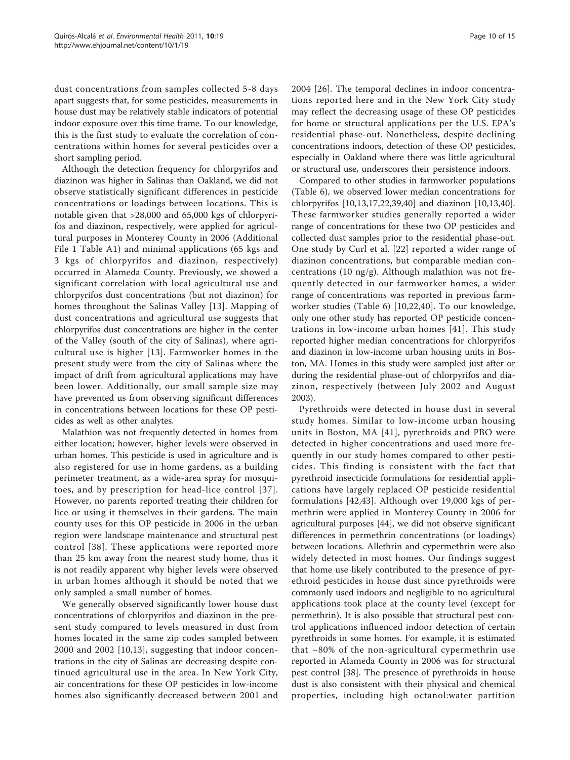dust concentrations from samples collected 5-8 days apart suggests that, for some pesticides, measurements in house dust may be relatively stable indicators of potential indoor exposure over this time frame. To our knowledge, this is the first study to evaluate the correlation of concentrations within homes for several pesticides over a short sampling period.

Although the detection frequency for chlorpyrifos and diazinon was higher in Salinas than Oakland, we did not observe statistically significant differences in pesticide concentrations or loadings between locations. This is notable given that >28,000 and 65,000 kgs of chlorpyrifos and diazinon, respectively, were applied for agricultural purposes in Monterey County in 2006 (Additional File [1](#page-13-0) Table A1) and minimal applications (65 kgs and 3 kgs of chlorpyrifos and diazinon, respectively) occurred in Alameda County. Previously, we showed a significant correlation with local agricultural use and chlorpyrifos dust concentrations (but not diazinon) for homes throughout the Salinas Valley [[13\]](#page-13-0). Mapping of dust concentrations and agricultural use suggests that chlorpyrifos dust concentrations are higher in the center of the Valley (south of the city of Salinas), where agricultural use is higher [[13](#page-13-0)]. Farmworker homes in the present study were from the city of Salinas where the impact of drift from agricultural applications may have been lower. Additionally, our small sample size may have prevented us from observing significant differences in concentrations between locations for these OP pesticides as well as other analytes.

Malathion was not frequently detected in homes from either location; however, higher levels were observed in urban homes. This pesticide is used in agriculture and is also registered for use in home gardens, as a building perimeter treatment, as a wide-area spray for mosquitoes, and by prescription for head-lice control [[37\]](#page-14-0). However, no parents reported treating their children for lice or using it themselves in their gardens. The main county uses for this OP pesticide in 2006 in the urban region were landscape maintenance and structural pest control [[38](#page-14-0)]. These applications were reported more than 25 km away from the nearest study home, thus it is not readily apparent why higher levels were observed in urban homes although it should be noted that we only sampled a small number of homes.

We generally observed significantly lower house dust concentrations of chlorpyrifos and diazinon in the present study compared to levels measured in dust from homes located in the same zip codes sampled between 2000 and 2002 [\[10](#page-13-0),[13\]](#page-13-0), suggesting that indoor concentrations in the city of Salinas are decreasing despite continued agricultural use in the area. In New York City, air concentrations for these OP pesticides in low-income homes also significantly decreased between 2001 and 2004 [[26\]](#page-14-0). The temporal declines in indoor concentrations reported here and in the New York City study may reflect the decreasing usage of these OP pesticides for home or structural applications per the U.S. EPA's residential phase-out. Nonetheless, despite declining concentrations indoors, detection of these OP pesticides, especially in Oakland where there was little agricultural or structural use, underscores their persistence indoors.

Compared to other studies in farmworker populations (Table [6](#page-10-0)), we observed lower median concentrations for chlorpyrifos [[10,13,17](#page-13-0)[,22,39](#page-14-0),[40\]](#page-14-0) and diazinon [[10,13,](#page-13-0)[40](#page-14-0)]. These farmworker studies generally reported a wider range of concentrations for these two OP pesticides and collected dust samples prior to the residential phase-out. One study by Curl et al. [[22\]](#page-14-0) reported a wider range of diazinon concentrations, but comparable median concentrations (10 ng/g). Although malathion was not frequently detected in our farmworker homes, a wider range of concentrations was reported in previous farmworker studies (Table [6](#page-10-0)) [[10](#page-13-0)[,22](#page-14-0),[40\]](#page-14-0). To our knowledge, only one other study has reported OP pesticide concentrations in low-income urban homes [[41](#page-14-0)]. This study reported higher median concentrations for chlorpyrifos and diazinon in low-income urban housing units in Boston, MA. Homes in this study were sampled just after or during the residential phase-out of chlorpyrifos and diazinon, respectively (between July 2002 and August 2003).

Pyrethroids were detected in house dust in several study homes. Similar to low-income urban housing units in Boston, MA [[41\]](#page-14-0), pyrethroids and PBO were detected in higher concentrations and used more frequently in our study homes compared to other pesticides. This finding is consistent with the fact that pyrethroid insecticide formulations for residential applications have largely replaced OP pesticide residential formulations [\[42](#page-14-0),[43\]](#page-14-0). Although over 19,000 kgs of permethrin were applied in Monterey County in 2006 for agricultural purposes [\[44\]](#page-14-0), we did not observe significant differences in permethrin concentrations (or loadings) between locations. Allethrin and cypermethrin were also widely detected in most homes. Our findings suggest that home use likely contributed to the presence of pyrethroid pesticides in house dust since pyrethroids were commonly used indoors and negligible to no agricultural applications took place at the county level (except for permethrin). It is also possible that structural pest control applications influenced indoor detection of certain pyrethroids in some homes. For example, it is estimated that ~80% of the non-agricultural cypermethrin use reported in Alameda County in 2006 was for structural pest control [[38\]](#page-14-0). The presence of pyrethroids in house dust is also consistent with their physical and chemical properties, including high octanol:water partition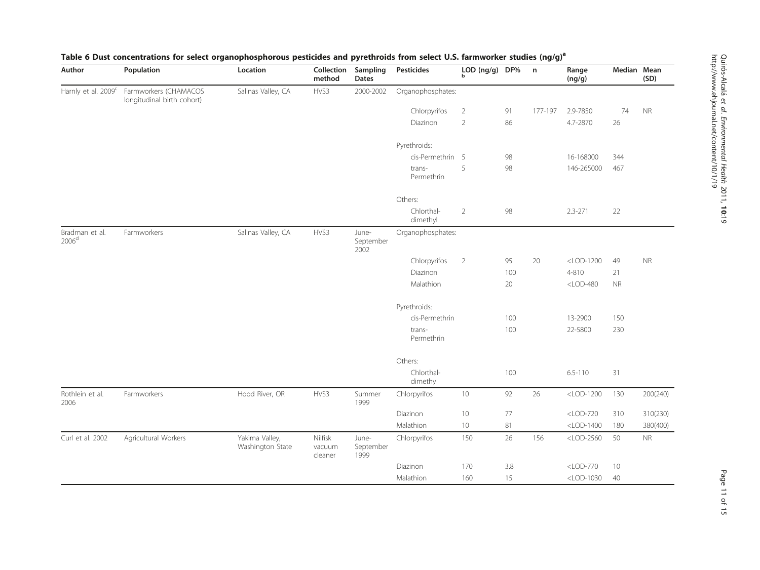| Author                              | Population                                          | Location                           | Collection<br>method         | Sampling<br><b>Dates</b>   | <b>Pesticides</b>      | LOD $(ng/g)$ DF%<br>$\mathbf b$ |     | n       | Range<br>(ng/g) | Median Mean | (SD)      |
|-------------------------------------|-----------------------------------------------------|------------------------------------|------------------------------|----------------------------|------------------------|---------------------------------|-----|---------|-----------------|-------------|-----------|
| Harnly et al. 2009 <sup>c</sup>     | Farmworkers (CHAMACOS<br>longitudinal birth cohort) | Salinas Valley, CA                 | HVS3                         | 2000-2002                  | Organophosphates:      |                                 |     |         |                 |             |           |
|                                     |                                                     |                                    |                              |                            | Chlorpyrifos           | $\overline{2}$                  | 91  | 177-197 | 2.9-7850        | 74          | <b>NR</b> |
|                                     |                                                     |                                    |                              |                            | Diazinon               | $\overline{2}$                  | 86  |         | 4.7-2870        | 26          |           |
|                                     |                                                     |                                    |                              |                            | Pyrethroids:           |                                 |     |         |                 |             |           |
|                                     |                                                     |                                    |                              |                            | cis-Permethrin 5       |                                 | 98  |         | 16-168000       | 344         |           |
|                                     |                                                     |                                    |                              |                            | trans-<br>Permethrin   | 5                               | 98  |         | 146-265000      | 467         |           |
|                                     |                                                     |                                    |                              |                            | Others:                |                                 |     |         |                 |             |           |
|                                     |                                                     |                                    |                              |                            | Chlorthal-<br>dimethyl | $\overline{2}$                  | 98  |         | $2.3 - 271$     | 22          |           |
| Bradman et al.<br>2006 <sup>d</sup> | Farmworkers                                         | Salinas Valley, CA                 | HVS3                         | June-<br>September<br>2002 | Organophosphates:      |                                 |     |         |                 |             |           |
|                                     |                                                     |                                    |                              |                            | Chlorpyrifos           | $\overline{2}$                  | 95  | 20      | $<$ LOD-1200    | 49          | <b>NR</b> |
|                                     |                                                     |                                    |                              |                            | Diazinon               |                                 | 100 |         | 4-810           | 21          |           |
|                                     |                                                     |                                    |                              |                            | Malathion              |                                 | 20  |         | $<$ LOD-480     | <b>NR</b>   |           |
|                                     |                                                     |                                    |                              |                            | Pyrethroids:           |                                 |     |         |                 |             |           |
|                                     |                                                     |                                    |                              |                            | cis-Permethrin         |                                 | 100 |         | 13-2900         | 150         |           |
|                                     |                                                     |                                    |                              |                            | trans-<br>Permethrin   |                                 | 100 |         | 22-5800         | 230         |           |
|                                     |                                                     |                                    |                              |                            | Others:                |                                 |     |         |                 |             |           |
|                                     |                                                     |                                    |                              |                            | Chlorthal-<br>dimethy  |                                 | 100 |         | $6.5 - 110$     | 31          |           |
| Rothlein et al.<br>2006             | Farmworkers                                         | Hood River, OR                     | HVS3                         | Summer<br>1999             | Chlorpyrifos           | 10                              | 92  | 26      | $<$ LOD-1200    | 130         | 200(240)  |
|                                     |                                                     |                                    |                              |                            | Diazinon               | $10\,$                          | 77  |         | $<$ LOD-720     | 310         | 310(230)  |
|                                     |                                                     |                                    |                              |                            | Malathion              | $10\,$                          | 81  |         | $<$ LOD-1400    | 180         | 380(400)  |
| Curl et al. 2002                    | Agricultural Workers                                | Yakima Valley,<br>Washington State | Nilfisk<br>vacuum<br>cleaner | June-<br>September<br>1999 | Chlorpyrifos           | 150                             | 26  | 156     | $<$ LOD-2560    | 50          | <b>NR</b> |
|                                     |                                                     |                                    |                              |                            | Diazinon               | 170                             | 3.8 |         | $<$ LOD-770     | 10          |           |
|                                     |                                                     |                                    |                              |                            | Malathion              | 160                             | 15  |         | $<$ LOD-1030    | 40          |           |

# <span id="page-10-0"></span>Table 6 Dust concentrations for select organophosphorous pesticides and pyrethroids from select U.S. farmworker studies (ng/g)<sup>a</sup>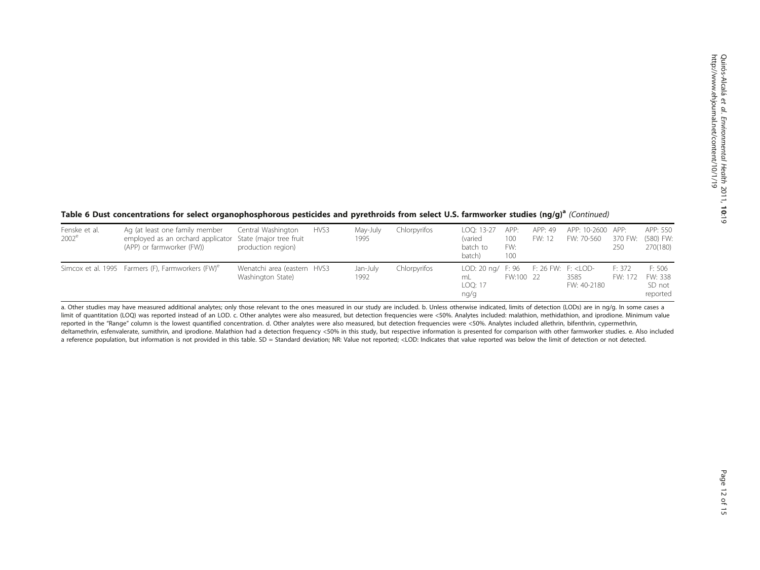# Table 6 Dust concentrations for select organophosphorous pesticides and pyrethroids from select U.S. farmworker studies (ng/g)<sup>a</sup> (Continued)

| Fenske et al.<br>2002 <sup>e</sup> | Ag (at least one family member<br>employed as an orchard applicator State (major tree fruit<br>(APP) or farmworker (FW)) | Central Washington<br>production region)         | HVS3 | May-July<br>1995 | Chlorpyrifos | LOO: 13-27<br>(varied<br>batch to<br>batch)                               | APP:<br>100<br>FW:<br>100 | APP: 49<br>FW: 12 | APP: 10-2600 APP:<br>FW: 70-560 | 250    | APP: 550<br>370 FW: (580) FW:<br>270(180)       |
|------------------------------------|--------------------------------------------------------------------------------------------------------------------------|--------------------------------------------------|------|------------------|--------------|---------------------------------------------------------------------------|---------------------------|-------------------|---------------------------------|--------|-------------------------------------------------|
|                                    | Simcox et al. 1995 Farmers (F), Farmworkers (FW) <sup>e</sup>                                                            | Wenatchi area (eastern HVS3<br>Washington State) |      | Jan-July<br>1992 | Chlorpyrifos | LOD: 20 ng/ F: 96 F: 26 FW: F: <lod-<br>mL<br/>LOQ: 17<br/>ng/g</lod-<br> | FW:100 22                 |                   | 3585<br>FW: 40-2180             | F: 372 | F: 506<br>FW: 172 FW: 338<br>SD not<br>reported |

a. Other studies may have measured additional analytes; only those relevant to the ones measured in our study are included. b. Unless otherwise indicated, limits of detection (LODs) are in ng/g. In some cases a limit of quantitation (LOQ) was reported instead of an LOD. c. Other analytes were also measured, but detection frequencies were <50%. Analytes included: malathion, methidathion, and iprodione. Minimum value reported in the "Range" column is the lowest quantified concentration. d. Other analytes were also measured, but detection frequencies were <50%. Analytes included allethrin, bifenthrin, cypermethrin, deltamethrin, esfenvalerate, sumithrin, and iprodione. Malathion had a detection frequency <50% in this study, but respective information is presented for comparison with other farmworker studies. e. Also included a reference population, but information is not provided in this table. SD = Standard deviation; NR: Value not reported; <LOD: Indicates that value reported was below the limit of detection or not detected.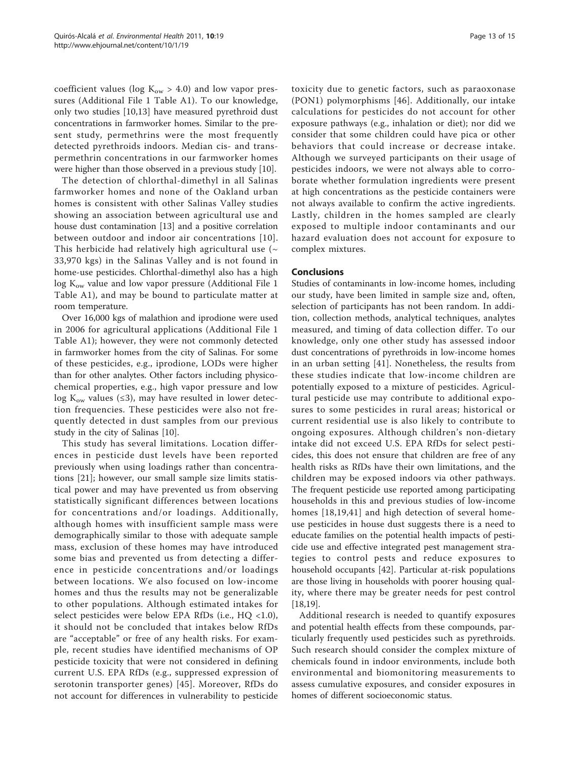coefficient values (log  $K_{ow} > 4.0$ ) and low vapor pressures (Additional File [1](#page-13-0) Table A1). To our knowledge, only two studies [[10,13](#page-13-0)] have measured pyrethroid dust concentrations in farmworker homes. Similar to the present study, permethrins were the most frequently detected pyrethroids indoors. Median cis- and transpermethrin concentrations in our farmworker homes were higher than those observed in a previous study [[10\]](#page-13-0).

The detection of chlorthal-dimethyl in all Salinas farmworker homes and none of the Oakland urban homes is consistent with other Salinas Valley studies showing an association between agricultural use and house dust contamination [[13\]](#page-13-0) and a positive correlation between outdoor and indoor air concentrations [\[10\]](#page-13-0). This herbicide had relatively high agricultural use  $({\sim}$ 33,970 kgs) in the Salinas Valley and is not found in home-use pesticides. Chlorthal-dimethyl also has a high  $log K<sub>ow</sub>$  value and low vapor pressure (Additional File [1](#page-13-0) Table A1), and may be bound to particulate matter at room temperature.

Over 16,000 kgs of malathion and iprodione were used in 2006 for agricultural applications (Additional File [1](#page-13-0) Table A1); however, they were not commonly detected in farmworker homes from the city of Salinas. For some of these pesticides, e.g., iprodione, LODs were higher than for other analytes. Other factors including physicochemical properties, e.g., high vapor pressure and low log  $K_{ow}$  values (≤3), may have resulted in lower detection frequencies. These pesticides were also not frequently detected in dust samples from our previous study in the city of Salinas [\[10\]](#page-13-0).

This study has several limitations. Location differences in pesticide dust levels have been reported previously when using loadings rather than concentrations [[21](#page-14-0)]; however, our small sample size limits statistical power and may have prevented us from observing statistically significant differences between locations for concentrations and/or loadings. Additionally, although homes with insufficient sample mass were demographically similar to those with adequate sample mass, exclusion of these homes may have introduced some bias and prevented us from detecting a difference in pesticide concentrations and/or loadings between locations. We also focused on low-income homes and thus the results may not be generalizable to other populations. Although estimated intakes for select pesticides were below EPA RfDs (i.e.,  $HQ \lt 1.0$ ), it should not be concluded that intakes below RfDs are "acceptable" or free of any health risks. For example, recent studies have identified mechanisms of OP pesticide toxicity that were not considered in defining current U.S. EPA RfDs (e.g., suppressed expression of serotonin transporter genes) [[45](#page-14-0)]. Moreover, RfDs do not account for differences in vulnerability to pesticide

toxicity due to genetic factors, such as paraoxonase (PON1) polymorphisms [[46](#page-14-0)]. Additionally, our intake calculations for pesticides do not account for other exposure pathways (e.g., inhalation or diet); nor did we consider that some children could have pica or other behaviors that could increase or decrease intake. Although we surveyed participants on their usage of pesticides indoors, we were not always able to corroborate whether formulation ingredients were present at high concentrations as the pesticide containers were not always available to confirm the active ingredients. Lastly, children in the homes sampled are clearly exposed to multiple indoor contaminants and our hazard evaluation does not account for exposure to complex mixtures.

## Conclusions

Studies of contaminants in low-income homes, including our study, have been limited in sample size and, often, selection of participants has not been random. In addition, collection methods, analytical techniques, analytes measured, and timing of data collection differ. To our knowledge, only one other study has assessed indoor dust concentrations of pyrethroids in low-income homes in an urban setting [[41\]](#page-14-0). Nonetheless, the results from these studies indicate that low-income children are potentially exposed to a mixture of pesticides. Agricultural pesticide use may contribute to additional exposures to some pesticides in rural areas; historical or current residential use is also likely to contribute to ongoing exposures. Although children's non-dietary intake did not exceed U.S. EPA RfDs for select pesticides, this does not ensure that children are free of any health risks as RfDs have their own limitations, and the children may be exposed indoors via other pathways. The frequent pesticide use reported among participating households in this and previous studies of low-income homes [\[18,19](#page-13-0),[41\]](#page-14-0) and high detection of several homeuse pesticides in house dust suggests there is a need to educate families on the potential health impacts of pesticide use and effective integrated pest management strategies to control pests and reduce exposures to household occupants [[42](#page-14-0)]. Particular at-risk populations are those living in households with poorer housing quality, where there may be greater needs for pest control [[18,19\]](#page-13-0).

Additional research is needed to quantify exposures and potential health effects from these compounds, particularly frequently used pesticides such as pyrethroids. Such research should consider the complex mixture of chemicals found in indoor environments, include both environmental and biomonitoring measurements to assess cumulative exposures, and consider exposures in homes of different socioeconomic status.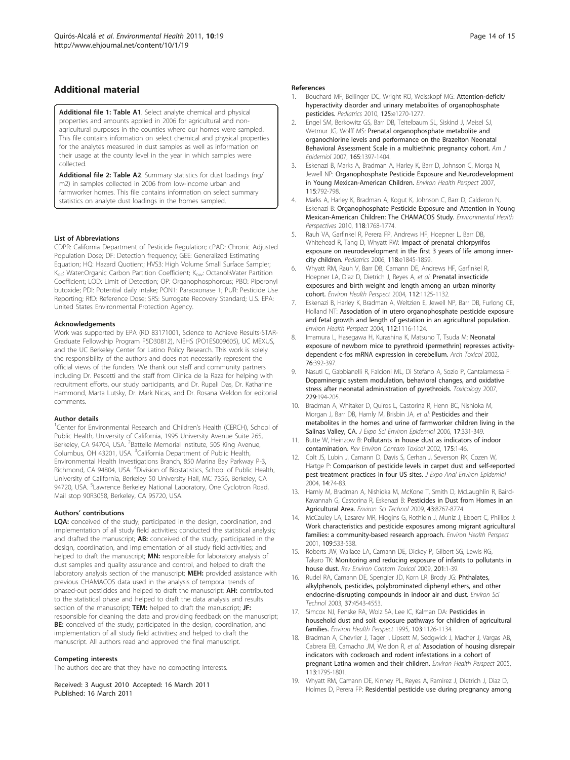# <span id="page-13-0"></span>Additional material

[Additional file 1: T](http://www.biomedcentral.com/content/supplementary/1476-069X-10-19-S1.PDF)able A1. Select analyte chemical and physical properties and amounts applied in 2006 for agricultural and nonagricultural purposes in the counties where our homes were sampled. This file contains information on select chemical and physical properties for the analytes measured in dust samples as well as information on their usage at the county level in the year in which samples were collected.

[Additional file 2: T](http://www.biomedcentral.com/content/supplementary/1476-069X-10-19-S2.PDF)able A2. Summary statistics for dust loadings (ng/ m2) in samples collected in 2006 from low-income urban and farmworker homes. This file contains information on select summary statistics on analyte dust loadings in the homes sampled.

#### List of Abbreviations

CDPR: California Department of Pesticide Regulation; cPAD: Chronic Adjusted Population Dose; DF: Detection frequency; GEE: Generalized Estimating Equation; HQ: Hazard Quotient; HVS3: High Volume Small Surface Sampler; Koc: Water:Organic Carbon Partition Coefficient; Kow: Octanol:Water Partition Coefficient; LOD: Limit of Detection; OP: Organophosphorous; PBO: Piperonyl butoxide; PDI: Potential daily intake; PON1: Paraoxonase 1; PUR: Pesticide Use Reporting; RfD: Reference Dose; SRS: Surrogate Recovery Standard; U.S. EPA: United States Environmental Protection Agency.

#### Acknowledgements

Work was supported by EPA (RD 83171001, Science to Achieve Results-STAR-Graduate Fellowship Program F5D30812), NIEHS (PO1ES009605), UC MEXUS, and the UC Berkeley Center for Latino Policy Research. This work is solely the responsibility of the authors and does not necessarily represent the official views of the funders. We thank our staff and community partners including Dr. Pescetti and the staff from Clinica de la Raza for helping with recruitment efforts, our study participants, and Dr. Rupali Das, Dr. Katharine Hammond, Marta Lutsky, Dr. Mark Nicas, and Dr. Rosana Weldon for editorial comments.

#### Author details

<sup>1</sup>Center for Environmental Research and Children's Health (CERCH), School of Public Health, University of California, 1995 University Avenue Suite 265, Berkeley, CA 94704, USA. <sup>2</sup>Battelle Memorial Institute, 505 King Avenue, Columbus, OH 43201, USA. <sup>3</sup>California Department of Public Health, Environmental Health Investigations Branch, 850 Marina Bay Parkway P-3, Richmond, CA 94804, USA. <sup>4</sup>Division of Biostatistics, School of Public Health, University of California, Berkeley 50 University Hall, MC 7356, Berkeley, CA 94720, USA. <sup>5</sup> Lawrence Berkeley National Laboratory, One Cyclotron Road, Mail stop 90R3058, Berkeley, CA 95720, USA.

#### Authors' contributions

LQA: conceived of the study; participated in the design, coordination, and implementation of all study field activities; conducted the statistical analysis; and drafted the manuscript; AB: conceived of the study; participated in the design, coordination, and implementation of all study field activities; and helped to draft the manuscript; MN: responsible for laboratory analysis of dust samples and quality assurance and control, and helped to draft the laboratory analysis section of the manuscript; MEH: provided assistance with previous CHAMACOS data used in the analysis of temporal trends of phased-out pesticides and helped to draft the manuscript; AH: contributed to the statistical phase and helped to draft the data analysis and results section of the manuscript; TEM: helped to draft the manuscript; JF: responsible for cleaning the data and providing feedback on the manuscript; BE: conceived of the study; participated in the design, coordination, and implementation of all study field activities; and helped to draft the manuscript. All authors read and approved the final manuscript.

#### Competing interests

The authors declare that they have no competing interests.

Received: 3 August 2010 Accepted: 16 March 2011 Published: 16 March 2011

#### References

- 1. Bouchard MF, Bellinger DC, Wright RO, Weisskopf MG: [Attention-deficit/](http://www.ncbi.nlm.nih.gov/pubmed/20478945?dopt=Abstract) [hyperactivity disorder and urinary metabolites of organophosphate](http://www.ncbi.nlm.nih.gov/pubmed/20478945?dopt=Abstract) [pesticides.](http://www.ncbi.nlm.nih.gov/pubmed/20478945?dopt=Abstract) Pediatrics 2010, 125:e1270-1277.
- 2. Engel SM, Berkowitz GS, Barr DB, Teitelbaum SL, Siskind J, Meisel SJ, Wetmur JG, Wolff MS: [Prenatal organophosphate metabolite and](http://www.ncbi.nlm.nih.gov/pubmed/17406008?dopt=Abstract) [organochlorine levels and performance on the Brazelton Neonatal](http://www.ncbi.nlm.nih.gov/pubmed/17406008?dopt=Abstract) [Behavioral Assessment Scale in a multiethnic pregnancy cohort.](http://www.ncbi.nlm.nih.gov/pubmed/17406008?dopt=Abstract) Am J Epidemiol 2007, 165:1397-1404.
- 3. Eskenazi B, Marks A, Bradman A, Harley K, Barr D, Johnson C, Morga N, Jewell NP: [Organophosphate Pesticide Exposure and Neurodevelopment](http://www.ncbi.nlm.nih.gov/pubmed/17520070?dopt=Abstract) [in Young Mexican-American Children.](http://www.ncbi.nlm.nih.gov/pubmed/17520070?dopt=Abstract) Environ Health Perspect 2007, 115:792-798.
- 4. Marks A, Harley K, Bradman A, Kogut K, Johnson C, Barr D, Calderon N, Eskenazi B: [Organophosphate Pesticide Exposure and Attention in Young](http://www.ncbi.nlm.nih.gov/pubmed/21126939?dopt=Abstract) [Mexican-American Children: The CHAMACOS Study.](http://www.ncbi.nlm.nih.gov/pubmed/21126939?dopt=Abstract) Environmental Health Perspectives 2010, 118:1768-1774.
- 5. Rauh VA, Garfinkel R, Perera FP, Andrews HF, Hoepner L, Barr DB, Whitehead R, Tang D, Whyatt RW: [Impact of prenatal chlorpyrifos](http://www.ncbi.nlm.nih.gov/pubmed/17116700?dopt=Abstract) [exposure on neurodevelopment in the first 3 years of life among inner](http://www.ncbi.nlm.nih.gov/pubmed/17116700?dopt=Abstract)[city children.](http://www.ncbi.nlm.nih.gov/pubmed/17116700?dopt=Abstract) Pediatrics 2006, 118:e1845-1859.
- 6. Whyatt RM, Rauh V, Barr DB, Camann DE, Andrews HF, Garfinkel R, Hoepner LA, Diaz D, Dietrich J, Reyes A, et al: [Prenatal insecticide](http://www.ncbi.nlm.nih.gov/pubmed/15238288?dopt=Abstract) [exposures and birth weight and length among an urban minority](http://www.ncbi.nlm.nih.gov/pubmed/15238288?dopt=Abstract) [cohort.](http://www.ncbi.nlm.nih.gov/pubmed/15238288?dopt=Abstract) Environ Health Perspect 2004, 112:1125-1132.
- 7. Eskenazi B, Harley K, Bradman A, Weltzien E, Jewell NP, Barr DB, Furlong CE, Holland NT: [Association of in utero organophosphate pesticide exposure](http://www.ncbi.nlm.nih.gov/pubmed/15238287?dopt=Abstract) [and fetal growth and length of gestation in an agricultural population.](http://www.ncbi.nlm.nih.gov/pubmed/15238287?dopt=Abstract) Environ Health Perspect 2004, 112:1116-1124.
- Imamura L, Hasegawa H, Kurashina K, Matsuno T, Tsuda M: [Neonatal](http://www.ncbi.nlm.nih.gov/pubmed/12111003?dopt=Abstract) [exposure of newborn mice to pyrethroid \(permethrin\) represses activity](http://www.ncbi.nlm.nih.gov/pubmed/12111003?dopt=Abstract)[dependent c-fos mRNA expression in cerebellum.](http://www.ncbi.nlm.nih.gov/pubmed/12111003?dopt=Abstract) Arch Toxicol 2002, 76:392-397.
- 9. Nasuti C, Gabbianelli R, Falcioni ML, Di Stefano A, Sozio P, Cantalamessa F: [Dopaminergic system modulation, behavioral changes, and oxidative](http://www.ncbi.nlm.nih.gov/pubmed/17140720?dopt=Abstract) [stress after neonatal administration of pyrethroids.](http://www.ncbi.nlm.nih.gov/pubmed/17140720?dopt=Abstract) Toxicology 2007, 229:194-205.
- 10. Bradman A, Whitaker D, Quiros L, Castorina R, Henn BC, Nishioka M, Morgan J, Barr DB, Harnly M, Brisbin JA, et al: [Pesticides and their](http://www.ncbi.nlm.nih.gov/pubmed/16736054?dopt=Abstract) [metabolites in the homes and urine of farmworker children living in the](http://www.ncbi.nlm.nih.gov/pubmed/16736054?dopt=Abstract) [Salinas Valley, CA.](http://www.ncbi.nlm.nih.gov/pubmed/16736054?dopt=Abstract) J Expo Sci Environ Epidemiol 2006, 17:331-349.
- 11. Butte W, Heinzow B: [Pollutants in house dust as indicators of indoor](http://www.ncbi.nlm.nih.gov/pubmed/12206053?dopt=Abstract) [contamination.](http://www.ncbi.nlm.nih.gov/pubmed/12206053?dopt=Abstract) Rev Environ Contam Toxicol 2002, 175:1-46.
- 12. Colt JS, Lubin J, Camann D, Davis S, Cerhan J, Severson RK, Cozen W, Hartge P: [Comparison of pesticide levels in carpet dust and self-reported](http://www.ncbi.nlm.nih.gov/pubmed/14726946?dopt=Abstract) [pest treatment practices in four US sites.](http://www.ncbi.nlm.nih.gov/pubmed/14726946?dopt=Abstract) J Expo Anal Environ Epidemiol 2004, 14:74-83.
- 13. Harnly M, Bradman A, Nishioka M, McKone T, Smith D, McLaughlin R, Baird-Kavannah G, Castorina R, Eskenazi B: [Pesticides in Dust from Homes in an](http://www.ncbi.nlm.nih.gov/pubmed/19943644?dopt=Abstract) [Agricultural Area.](http://www.ncbi.nlm.nih.gov/pubmed/19943644?dopt=Abstract) Environ Sci Technol 2009, 43:8767-8774.
- 14. McCauley LA, Lasarev MR, Higgins G, Rothlein J, Muniz J, Ebbert C, Phillips J: [Work characteristics and pesticide exposures among migrant agricultural](http://www.ncbi.nlm.nih.gov/pubmed/11401767?dopt=Abstract) [families: a community-based research approach.](http://www.ncbi.nlm.nih.gov/pubmed/11401767?dopt=Abstract) Environ Health Perspect 2001, 109:533-538.
- 15. Roberts JW, Wallace LA, Camann DE, Dickey P, Gilbert SG, Lewis RG, Takaro TK: [Monitoring and reducing exposure of infants to pollutants in](http://www.ncbi.nlm.nih.gov/pubmed/19484587?dopt=Abstract) [house dust.](http://www.ncbi.nlm.nih.gov/pubmed/19484587?dopt=Abstract) Rev Environ Contam Toxicol 2009, 201:1-39.
- Rudel RA, Camann DE, Spengler JD, Korn LR, Brody JG: [Phthalates,](http://www.ncbi.nlm.nih.gov/pubmed/14594359?dopt=Abstract) [alkylphenols, pesticides, polybrominated diphenyl ethers, and other](http://www.ncbi.nlm.nih.gov/pubmed/14594359?dopt=Abstract) [endocrine-disrupting compounds in indoor air and dust.](http://www.ncbi.nlm.nih.gov/pubmed/14594359?dopt=Abstract) Environ Sci Technol 2003, 37:4543-4553.
- 17. Simcox NJ, Fenske RA, Wolz SA, Lee IC, Kalman DA: [Pesticides in](http://www.ncbi.nlm.nih.gov/pubmed/8747019?dopt=Abstract) [household dust and soil: exposure pathways for children of agricultural](http://www.ncbi.nlm.nih.gov/pubmed/8747019?dopt=Abstract) [families.](http://www.ncbi.nlm.nih.gov/pubmed/8747019?dopt=Abstract) Environ Health Perspect 1995, 103:1126-1134.
- 18. Bradman A, Chevrier J, Tager I, Lipsett M, Sedgwick J, Macher J, Vargas AB, Cabrera EB, Camacho JM, Weldon R, et al: [Association of housing disrepair](http://www.ncbi.nlm.nih.gov/pubmed/16330367?dopt=Abstract) [indicators with cockroach and rodent infestations in a cohort of](http://www.ncbi.nlm.nih.gov/pubmed/16330367?dopt=Abstract) [pregnant Latina women and their children.](http://www.ncbi.nlm.nih.gov/pubmed/16330367?dopt=Abstract) Environ Health Perspect 2005, 113:1795-1801.
- 19. Whyatt RM, Camann DE, Kinney PL, Reyes A, Ramirez J, Dietrich J, Diaz D, Holmes D, Perera FP: [Residential pesticide use during pregnancy among](http://www.ncbi.nlm.nih.gov/pubmed/12003754?dopt=Abstract)